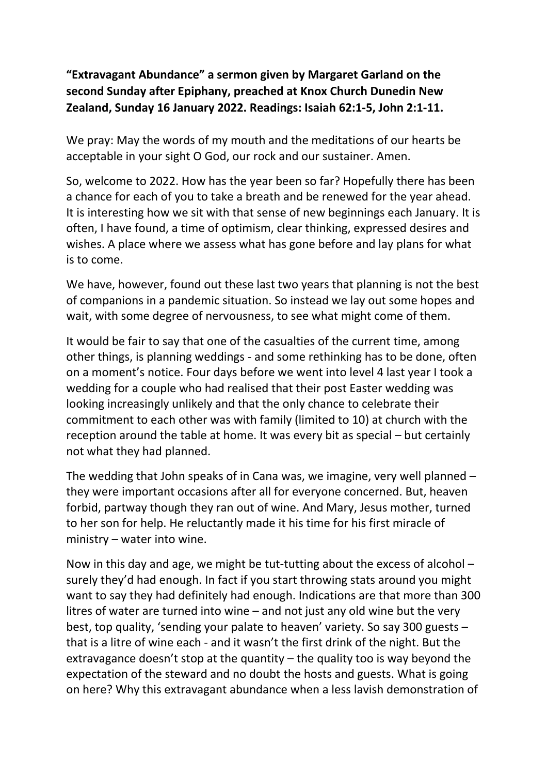## "Extravagant Abundance" a sermon given by Margaret Garland on the second Sunday after Epiphany, preached at Knox Church Dunedin New Zealand, Sunday 16 January 2022. Readings: Isaiah 62:1-5, John 2:1-11.

We pray: May the words of my mouth and the meditations of our hearts be acceptable in your sight O God, our rock and our sustainer. Amen.

So, welcome to 2022. How has the year been so far? Hopefully there has been a chance for each of you to take a breath and be renewed for the year ahead. It is interesting how we sit with that sense of new beginnings each January. It is often, I have found, a time of optimism, clear thinking, expressed desires and wishes. A place where we assess what has gone before and lay plans for what is to come.

We have, however, found out these last two years that planning is not the best of companions in a pandemic situation. So instead we lay out some hopes and wait, with some degree of nervousness, to see what might come of them.

It would be fair to say that one of the casualties of the current time, among other things, is planning weddings - and some rethinking has to be done, often on a moment's notice. Four days before we went into level 4 last year I took a wedding for a couple who had realised that their post Easter wedding was looking increasingly unlikely and that the only chance to celebrate their commitment to each other was with family (limited to 10) at church with the reception around the table at home. It was every bit as special – but certainly not what they had planned.

The wedding that John speaks of in Cana was, we imagine, very well planned – they were important occasions after all for everyone concerned. But, heaven forbid, partway though they ran out of wine. And Mary, Jesus mother, turned to her son for help. He reluctantly made it his time for his first miracle of ministry – water into wine.

Now in this day and age, we might be tut-tutting about the excess of alcohol – surely they'd had enough. In fact if you start throwing stats around you might want to say they had definitely had enough. Indications are that more than 300 litres of water are turned into wine – and not just any old wine but the very best, top quality, 'sending your palate to heaven' variety. So say 300 guests – that is a litre of wine each - and it wasn't the first drink of the night. But the extravagance doesn't stop at the quantity  $-$  the quality too is way beyond the expectation of the steward and no doubt the hosts and guests. What is going on here? Why this extravagant abundance when a less lavish demonstration of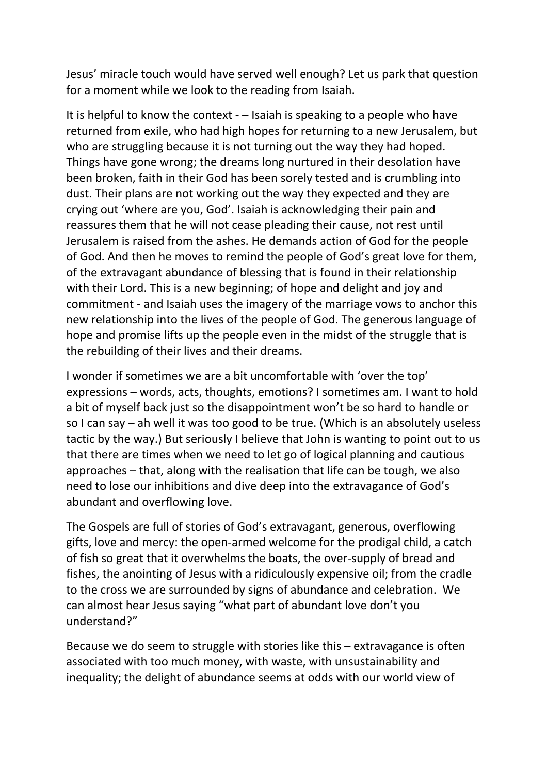Jesus' miracle touch would have served well enough? Let us park that question for a moment while we look to the reading from Isaiah.

It is helpful to know the context - – Isaiah is speaking to a people who have returned from exile, who had high hopes for returning to a new Jerusalem, but who are struggling because it is not turning out the way they had hoped. Things have gone wrong; the dreams long nurtured in their desolation have been broken, faith in their God has been sorely tested and is crumbling into dust. Their plans are not working out the way they expected and they are crying out 'where are you, God'. Isaiah is acknowledging their pain and reassures them that he will not cease pleading their cause, not rest until Jerusalem is raised from the ashes. He demands action of God for the people of God. And then he moves to remind the people of God's great love for them, of the extravagant abundance of blessing that is found in their relationship with their Lord. This is a new beginning; of hope and delight and joy and commitment - and Isaiah uses the imagery of the marriage vows to anchor this new relationship into the lives of the people of God. The generous language of hope and promise lifts up the people even in the midst of the struggle that is the rebuilding of their lives and their dreams.

I wonder if sometimes we are a bit uncomfortable with 'over the top' expressions – words, acts, thoughts, emotions? I sometimes am. I want to hold a bit of myself back just so the disappointment won't be so hard to handle or so I can say – ah well it was too good to be true. (Which is an absolutely useless tactic by the way.) But seriously I believe that John is wanting to point out to us that there are times when we need to let go of logical planning and cautious approaches – that, along with the realisation that life can be tough, we also need to lose our inhibitions and dive deep into the extravagance of God's abundant and overflowing love.

The Gospels are full of stories of God's extravagant, generous, overflowing gifts, love and mercy: the open-armed welcome for the prodigal child, a catch of fish so great that it overwhelms the boats, the over-supply of bread and fishes, the anointing of Jesus with a ridiculously expensive oil; from the cradle to the cross we are surrounded by signs of abundance and celebration. We can almost hear Jesus saying "what part of abundant love don't you understand?"

Because we do seem to struggle with stories like this – extravagance is often associated with too much money, with waste, with unsustainability and inequality; the delight of abundance seems at odds with our world view of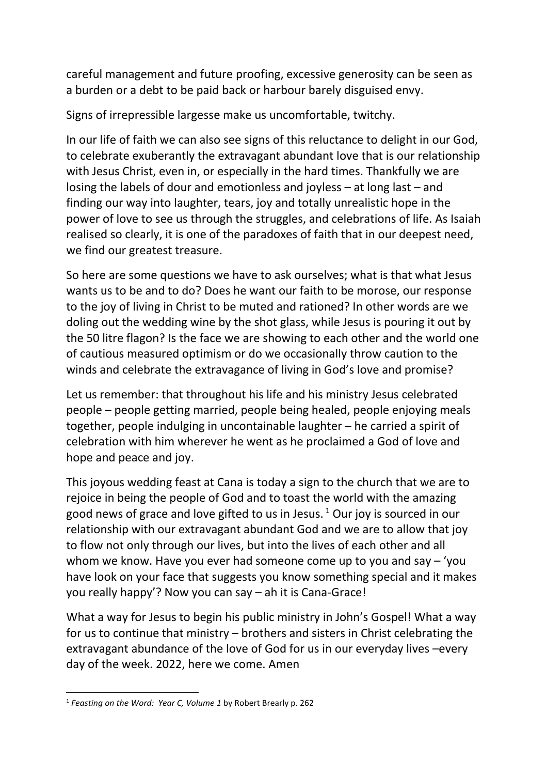careful management and future proofing, excessive generosity can be seen as a burden or a debt to be paid back or harbour barely disguised envy.

Signs of irrepressible largesse make us uncomfortable, twitchy.

In our life of faith we can also see signs of this reluctance to delight in our God, to celebrate exuberantly the extravagant abundant love that is our relationship with Jesus Christ, even in, or especially in the hard times. Thankfully we are losing the labels of dour and emotionless and joyless – at long last – and finding our way into laughter, tears, joy and totally unrealistic hope in the power of love to see us through the struggles, and celebrations of life. As Isaiah realised so clearly, it is one of the paradoxes of faith that in our deepest need, we find our greatest treasure.

So here are some questions we have to ask ourselves; what is that what Jesus wants us to be and to do? Does he want our faith to be morose, our response to the joy of living in Christ to be muted and rationed? In other words are we doling out the wedding wine by the shot glass, while Jesus is pouring it out by the 50 litre flagon? Is the face we are showing to each other and the world one of cautious measured optimism or do we occasionally throw caution to the winds and celebrate the extravagance of living in God's love and promise?

Let us remember: that throughout his life and his ministry Jesus celebrated people – people getting married, people being healed, people enjoying meals together, people indulging in uncontainable laughter – he carried a spirit of celebration with him wherever he went as he proclaimed a God of love and hope and peace and joy.

This joyous wedding feast at Cana is today a sign to the church that we are to rejoice in being the people of God and to toast the world with the amazing good news of grace and love gifted to us in Jesus.<sup>1</sup> Our joy is sourced in our relationship with our extravagant abundant God and we are to allow that joy to flow not only through our lives, but into the lives of each other and all whom we know. Have you ever had someone come up to you and say – 'you have look on your face that suggests you know something special and it makes you really happy'? Now you can say – ah it is Cana-Grace!

What a way for Jesus to begin his public ministry in John's Gospel! What a way for us to continue that ministry – brothers and sisters in Christ celebrating the extravagant abundance of the love of God for us in our everyday lives –every day of the week. 2022, here we come. Amen

l

<sup>&</sup>lt;sup>1</sup> Feasting on the Word: Year C, Volume 1 by Robert Brearly p. 262